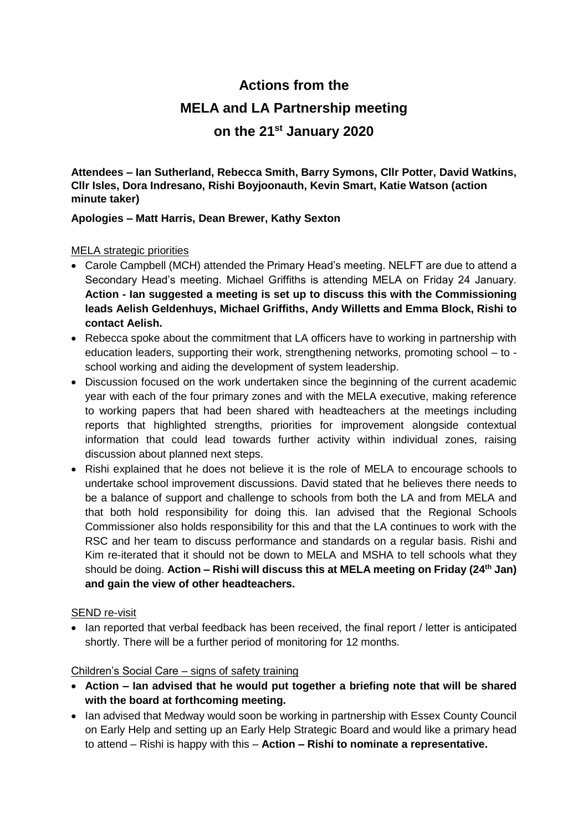# **Actions from the MELA and LA Partnership meeting on the 21st January 2020**

**Attendees – Ian Sutherland, Rebecca Smith, Barry Symons, Cllr Potter, David Watkins, Cllr Isles, Dora Indresano, Rishi Boyjoonauth, Kevin Smart, Katie Watson (action minute taker)**

## **Apologies – Matt Harris, Dean Brewer, Kathy Sexton**

#### MELA strategic priorities

- Carole Campbell (MCH) attended the Primary Head's meeting. NELFT are due to attend a Secondary Head's meeting. Michael Griffiths is attending MELA on Friday 24 January. **Action - Ian suggested a meeting is set up to discuss this with the Commissioning leads Aelish Geldenhuys, Michael Griffiths, Andy Willetts and Emma Block, Rishi to contact Aelish.**
- Rebecca spoke about the commitment that LA officers have to working in partnership with education leaders, supporting their work, strengthening networks, promoting school – to school working and aiding the development of system leadership.
- Discussion focused on the work undertaken since the beginning of the current academic year with each of the four primary zones and with the MELA executive, making reference to working papers that had been shared with headteachers at the meetings including reports that highlighted strengths, priorities for improvement alongside contextual information that could lead towards further activity within individual zones, raising discussion about planned next steps.
- Rishi explained that he does not believe it is the role of MELA to encourage schools to undertake school improvement discussions. David stated that he believes there needs to be a balance of support and challenge to schools from both the LA and from MELA and that both hold responsibility for doing this. Ian advised that the Regional Schools Commissioner also holds responsibility for this and that the LA continues to work with the RSC and her team to discuss performance and standards on a regular basis. Rishi and Kim re-iterated that it should not be down to MELA and MSHA to tell schools what they should be doing. **Action – Rishi will discuss this at MELA meeting on Friday (24th Jan) and gain the view of other headteachers.**

#### SEND re-visit

• Ian reported that verbal feedback has been received, the final report / letter is anticipated shortly. There will be a further period of monitoring for 12 months.

#### Children's Social Care – signs of safety training

- **Action – Ian advised that he would put together a briefing note that will be shared with the board at forthcoming meeting.**
- Ian advised that Medway would soon be working in partnership with Essex County Council on Early Help and setting up an Early Help Strategic Board and would like a primary head to attend – Rishi is happy with this – **Action – Rishi to nominate a representative.**